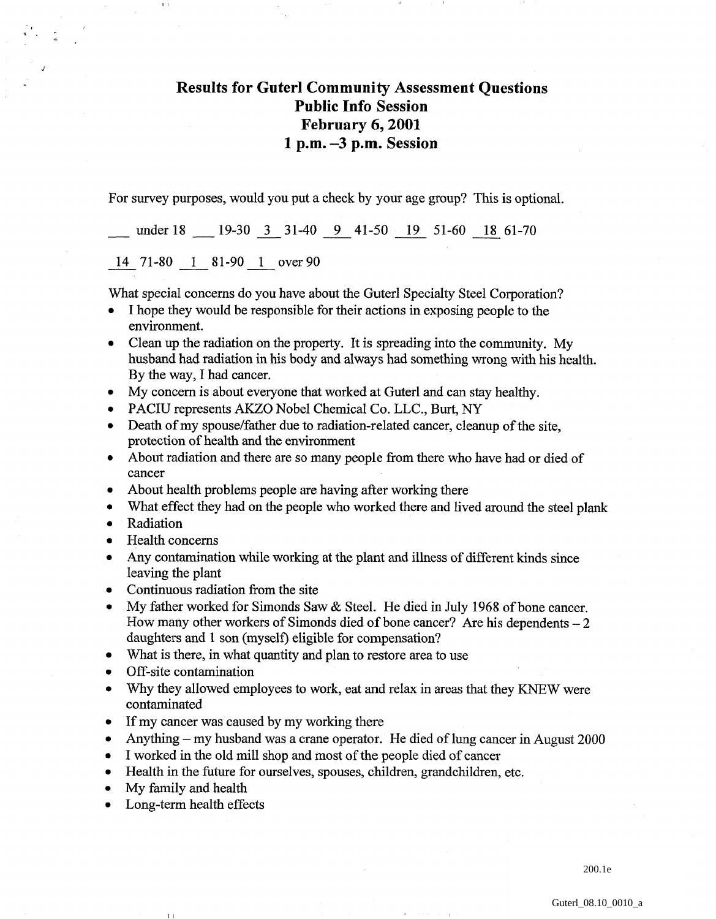## **Results for Guterl Community Assessment Questions Public Info Session February 6,2001 1 p.m. -3 p.m. Session**

For survey purposes, would you put a check by your age group? This is optional.

under 18  $\frac{19-30}{3}$  31-40  $\frac{9}{5}$  41-50  $\frac{19}{19}$  51-60  $\frac{18}{18}$  61-70<br>14 71-80 1 81-90 1 over 90

What special concerns do you have about the Guterl Specialty Steel Corporation?

- I hope they would be responsible for their actions in exposing people to the environment.
- Clean up the radiation on the property. It is spreading into the community. My husband had radiation in his body and always had something wrong with his health. By the way, I had cancer.
- My concern is about everyone that worked at Guterl and can stay healthy.
- PACIU represents AKZO Nobel Chemical Co. LLC., Burt, NY
- Death of my spouse/father due to radiation-related cancer, cleanup of the site, protection of health and the environment
- About radiation and there are so many people from there who have had or died of cancer
- About health problems people are having after working there  $\bullet$
- What effect they had on the people who worked there and lived around the steel plank  $\bullet$
- Radiation
- Health concerns

 $\mathbf{r}$ 

- Any contamination while working at the plant and illness of different kinds since leaving the plant
- Continuous radiation from the site
- My father worked for Simonds Saw & Steel. He died in July 1968 of bone cancer. How many other workers of Simonds died of bone cancer? Are his dependents  $-2$ daughters and 1 son (myself) eligible for compensation?
- What is there, in what quantity and plan to restore area to use
- Off-site contamination  $\bullet$
- Why they allowed employees to work, eat and relax in areas that they KNEW were contaminated
- If my cancer was caused by my working there
- Anything my husband was a crane operator. He died of lung cancer in August 2000  $\bullet$
- I worked in the old mill shop and most of the people died of cancer
- Health in the future for ourselves, spouses, children, grandchildren, etc.
- My family and health  $\bullet$

 $\parallel$   $\parallel$ 

Long-term health effects  $\bullet$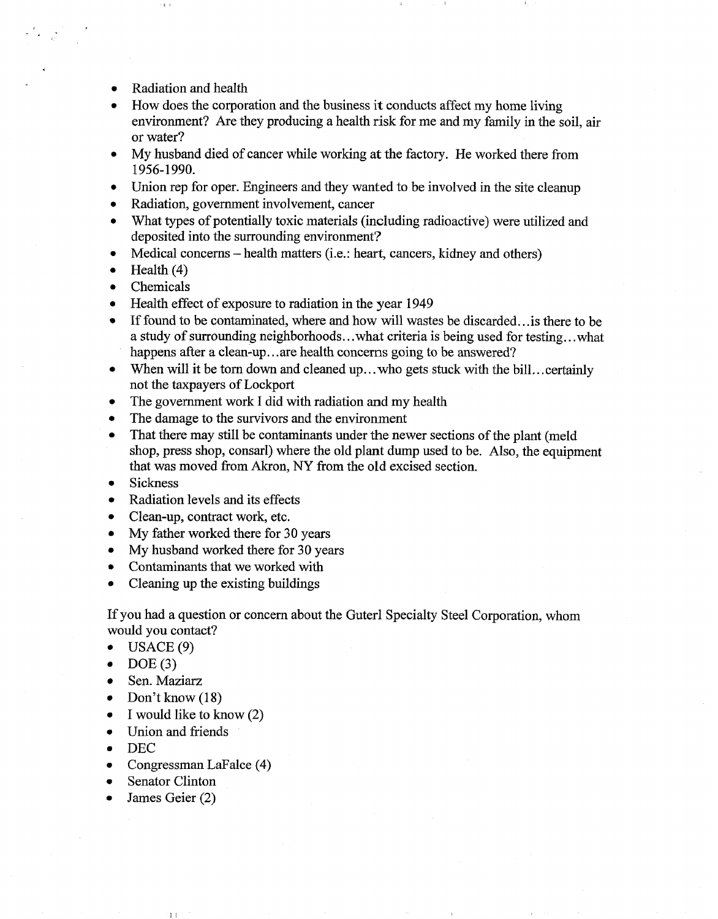- Radiation and health
- How does the corporation and the business it conducts affect my home living  $\bullet$ environment? Are they producing a health risk for me and my family in the soil, air or water?
- My husband died of cancer while working at the factory. He worked there from  $\bullet$ 1956- 1990.
- $\bullet$ Union rep for oper. Engineers and they wanted to be involved in the site cleanup
- Radiation, government involvement, cancer  $\bullet$
- What types of potentially toxic materials (including radioactive) were utilized and  $\bullet$ deposited into the surrounding environment?
- Medical concerns health matters (i.e.: heart, cancers, kidney and others)  $\bullet$
- Health (4)  $\bullet$
- $\bullet$ Chemicals
- Health effect of exposure to radiation in the year 1949
- If found to be contaminated, where and how will wastes be discarded.. .is there to be a study of surrounding neighborhoods.. .what criteria is being used for testing.. .what happens after a clean-up...are health concerns going to be answered?
- When will it be torn down and cleaned up...who gets stuck with the bill...certainly  $\bullet$ not the taxpayers of Lockport
- The government work I did with radiation and my health  $\bullet$
- The damage to the survivors and the environment  $\bullet$
- That there may still be contaminants under the newer sections of the plant (meld  $\bullet$ shop, press shop, consarl) where the old plant dump used to be. Also, the equipment that was moved from Akron, NY from the old excised section.
- Sickness  $\bullet$
- Radiation levels and its effects  $\bullet$
- Clean-up, contract work, etc.  $\bullet$
- My father worked there for 30 years  $\bullet$
- My husband worked there for 30 years  $\bullet$
- Contaminants that we worked with  $\bullet$
- Cleaning up the existing buildings

If you had a question or concern about the Guterl Specialty Steel Corporation, whom would you contact?

- $\bullet$  USACE(9)
- $DOE(3)$  $\bullet$
- Sen. Maziarz  $\bullet$
- Don't know  $(18)$  $\bullet$
- I would like to know (2)  $\bullet$
- Union and friends  $\bullet$
- DEG  $\bullet$
- Congressman LaFalce (4)  $\bullet$
- Senator Clinton  $\bullet$
- James Geier (2)

11 I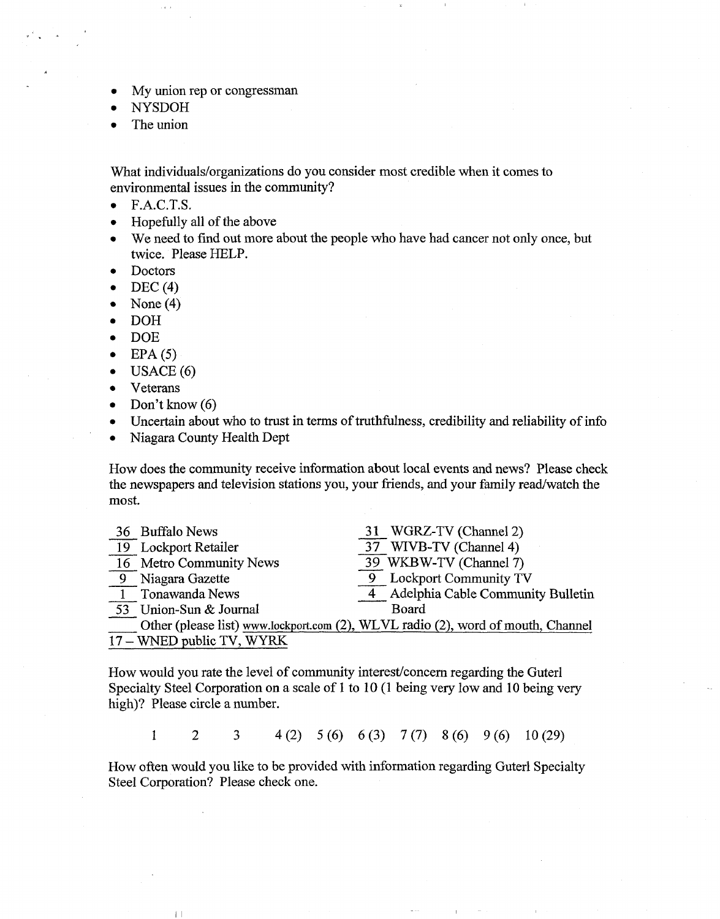- My union rep or congressman
- NYSDOH
- The union  $\bullet$

What individuals/organizations do you consider most credible when it comes to environmental issues in the community?

- F.A.C.T.S.  $\bullet$
- Hopefully all of the above  $\bullet$
- We need to find out more about the people who have had cancer not only once, but  $\bullet$ twice. Please HELP.
- Doctors  $\bullet$
- $DEC(4)$  $\bullet$
- None (4)  $\bullet$
- DOH  $\bullet$
- $\bullet$ DOE
- $EPA(5)$  $\bullet$
- USACE(6)  $\bullet$
- Veterans  $\bullet$
- Don't know  $(6)$  $\bullet$

 $\left\lceil \ \right\rceil$ 

- Uncertain about who to trust in terms of truthfulness, credibility and reliability of info
- Niagara County Health Dept  $\bullet$

How does the community receive information about local events and news? Please check most.

| most.                     | the newspapers and television stations you, your friends, and your family read/watch the |
|---------------------------|------------------------------------------------------------------------------------------|
| 36 Buffalo News           | 31 WGRZ-TV (Channel 2)                                                                   |
| 19 Lockport Retailer      | 37 WIVB-TV (Channel 4)                                                                   |
| 16 Metro Community News   | 39 WKBW-TV (Channel 7)                                                                   |
| 9 Niagara Gazette         | <b>Lockport Community TV</b>                                                             |
| 1 Tonawanda News          | Adelphia Cable Community Bulletin                                                        |
| 53 Union-Sun & Journal    | Board                                                                                    |
|                           | Other (please list) www.lockport.com (2), WLVL radio (2), word of mouth, Channel         |
| 17 – WNED public TV, WYRK |                                                                                          |

How would you rate the level of community interest/comcern regarding the Guterl Specialty Steel Corporation on a scale of 1 to 10 (1 being very low and 10 being very high)? Please circle a number.

 $\mathbf{1}$  $\overline{2}$  $\overline{3}$  $4(2)$   $5(6)$   $6(3)$   $7(7)$   $8(6)$   $9(6)$  $10(29)$ 

How often would you like to be provided with information regarding Guterl Specialty Steel Corporation? Please check one.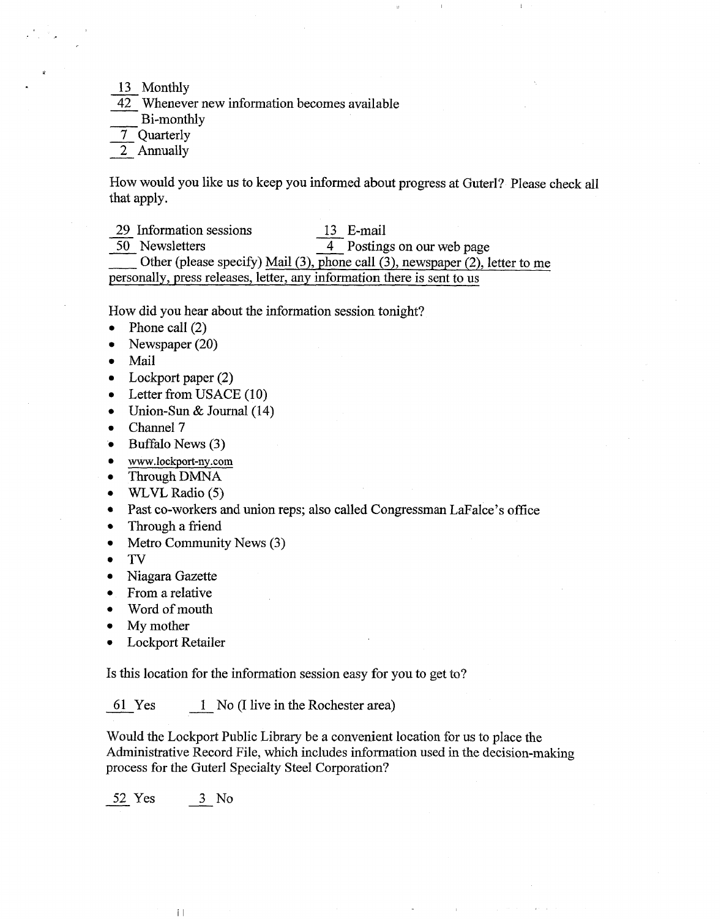13 Monthly

42 Whenever new information becomes available  $\frac{13}{42}$  Monthly<br>Bi-month<br> $\frac{7}{2}$  Quarterly<br> $\frac{1}{2}$  Annually  $\frac{13}{42}$  Wheneve<br>Bi-month<br> $\frac{7}{2}$  Quarterly

Bi-monthly

How would you like us to keep you informed about progress at Guterl? Please check all<br>that apply.<br>29 Information sessions 13 E-mail<br>4 Postings on our web page that apply.

 $\frac{29}{50}$  Information sessions  $\frac{13}{4}$  E-mail<br> $\frac{13}{4}$  Postings on our web page

Other (please specify) Mail (3), phone call (3), newspaper (2), letter to me personally, press releases, letter, any information there is sent to us

How did you hear about the information session tonight?

- Phone call (2)  $\bullet$
- Newspaper (20)  $\bullet$
- Mail  $\bullet$
- Lockport paper (2)  $\bullet$
- Letter from USACE (10)  $\bullet$
- Union-Sun & Journal (14)  $\bullet$
- Channel 7  $\bullet$
- \* Buffalo News **(3)**
- www.lockport-ny .corn  $\bullet$
- Through DMNA  $\bullet$
- $\bullet$ WILVL Radio (5)
- Past co-workers and union reps; also called Congressman LaFalce's office  $\bullet$
- Through a friend  $\bullet$
- $\bullet$ Metro Community News (3)
- TV  $\bullet$
- Niagara Gazette  $\bullet$
- From a relative  $\bullet$
- Word of mouth  $\bullet$
- My mother  $\bullet$
- Lockport Retailer

Is this location for the information session easy for you to get to? Lockport Retailer<br>this location for the information session easy for youth<br>51 Yes  $\frac{1}{\sqrt{1-\lambda}}$  No (I live in the Rochester area)

Would the Lockport Public Library be a convenient location for us to place the Administrative Record File, which includes information used in the decision-making process for the Guterl Specialty Steel Corporation? France Cockport Publish<br>
dministrative Record France<br>
Francess for the Guter<br>
S<sub>2</sub> Yes 3 No

 $\|\hspace{1ex}\|$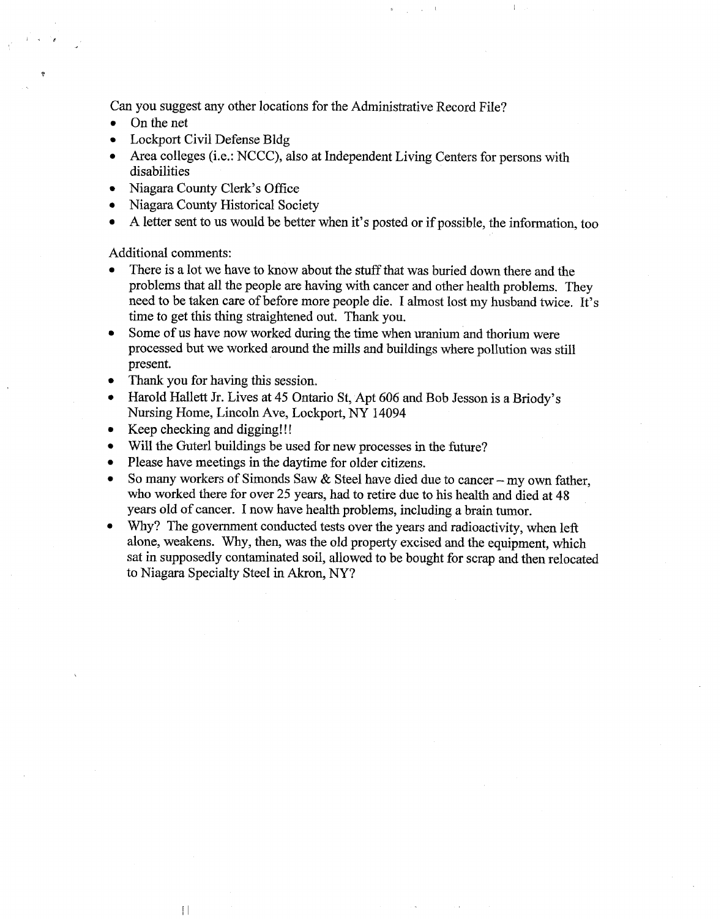Can you suggest any other locations for the Administrative Record File?

- On the net
- Lockport Civil Defense Bldg  $\bullet$
- Area colleges (i.e.: NCCC), also at Independent Living Centers for persons with  $\bullet$ disabilities
- Niagara County Clerk's Office
- Niagara County Historical Society  $\bullet$
- A letter sent to us would be better when it's posted or if possible, the information, too

Additional comments:

- There is a lot we have to know about the stuff that was buried down there and the problems that all the people are having with cancer and other health problems. They need to be taken care of before more people die. I almost lost my husband twice. It's time to get this thing straightened out. Thank you.
- Some of us have now worked during the time when uranium and thorium were processed but we worked around the mills and buildings where pollution was still present.
- Thank you for having this session.
- Harold Hallett Jr. Lives at 45 Ontario St, Apt 606 and Bob Jesson is a Briody's Nursing Home, Lincoln Ave, Lockport, NY 14094
- Keep checking and digging!!!

 $\Box$ 

- Will the Guterl buildings be used for new processes in the future?
- Please have meetings in the daytime for older citizens.  $\bullet$
- So many workers of Simonds Saw  $\&$  Steel have died due to cancer my own father, who worked there for over 25 years, had to retire due to his health and died at 48 years old of cancer. I now have health problems, including a brain tumor.
- Why? The government conducted tests over the years and radioactivity, when left alone, weakens. Why, then, was the old property excised and the equipment, which sat in supposedly contaminated soil, allowed to be bought for scrap and then relocated to Niagara Specialty Steel in Akron, NY?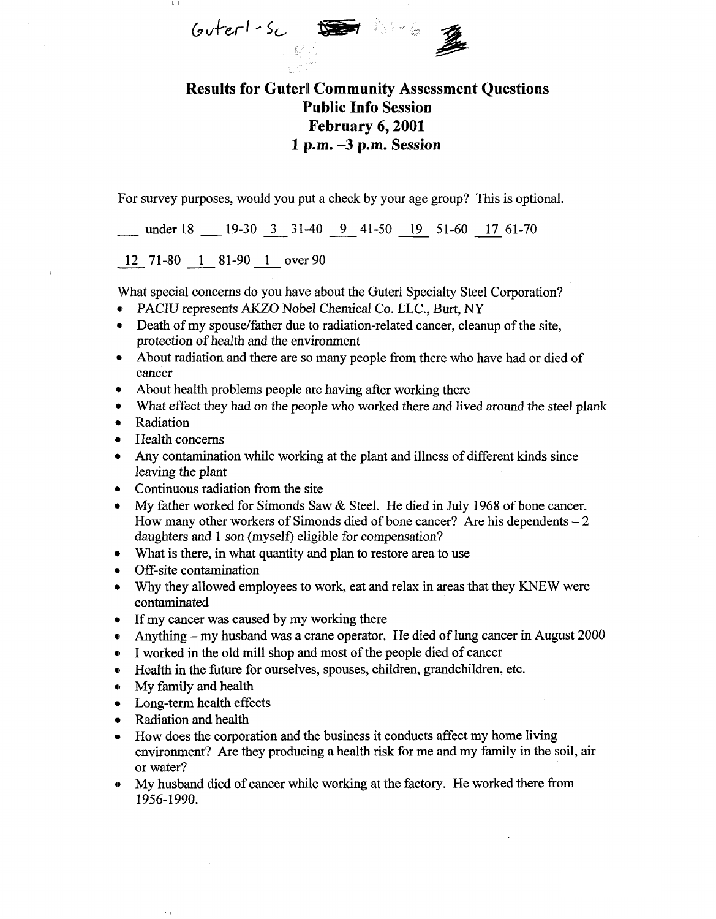$G$ uter $1-S_C$ 

## Results for Guterl Community Assessment Questions Public Info Session February 6,2001 1 p.m. -3 p.m. Session

For survey purposes, would you put a check by your age group? This is optional.

under 18 19-30 3 31-40 9 41-50 19 51-60 17 61-70

12 71-80 1 81-90 1 over 90

What special concerns do you have about the Guterl Specialty Steel Corporation?

- PACIU represents AKZO Nobel Chemical Co. LLC, Burt, NY
- Death of my spouse/father due to radiation-related cancer, cleanup of the site. protection of health and the environment
- About radiation and there are so many people from there who have had or died of cancer
- About health problems people are having after working there
- What effect they had on the people who worked there and lived around the steel plank
- Radiation
- Health concerns
- Any contamination while working at the plant and illness of different kinds since leaving the plant
- Continuous radiation from the site
- My father worked for Simonds Saw & Steel. He died in July 1968 of bone cancer. How many other workers of Simonds died of bone cancer? Are his dependents  $-2$ daughters and 1 son (myself) eligible for compensation?
- What is there, in what quantity and plan to restore area to use
- Off-site contamination
- Why they allowed employees to work, eat and relax in areas that they KNEW were contaminated
- If my cancer was caused by my working there
- Anything my husband was a crane operator. He died of lung cancer in August 2000
- I worked in the old mill shop and most of the people died of cancer
- Health in the future for ourselves, spouses, children, grandchildren, etc.
- My family and health
- » Long-term health effects
- » Radiation and health

 $\mathbf{r}$  .

- » How does the corporation and the business it conducts affect my home living environment? Are they producing a health risk for me and my family in the soil, air or water?
- » My husband died of cancer while working at the factory. He worked there from 1956-1990.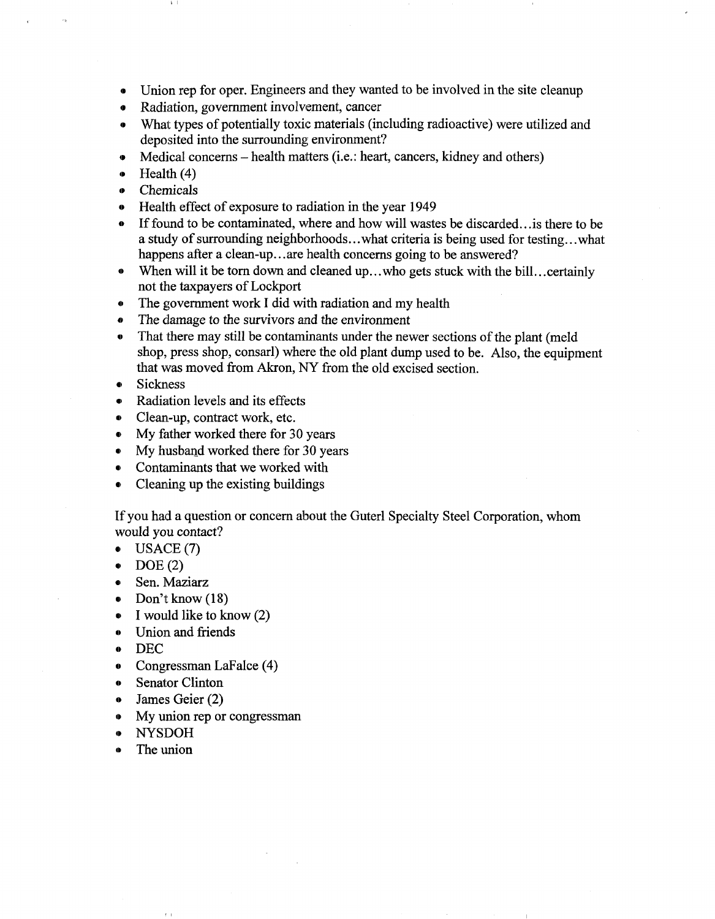- Union rep for oper. Engineers and they wanted to be involved in the site cleanup
- Radiation, government involvement, cancer
- What types of potentially toxic materials (including radioactive) were utilized and deposited into the surrounding environment?
- Medical concerns health matters (i.e.: heart, cancers, kidney and others)
- Health (4)
- » Chemicals
- » Health effect of exposure to radiation in the year 1949
- If found to be contaminated, where and how will wastes be discarded... is there to be a study of surrounding neighborhoods.. .what criteria is being used for testing.. .what happens after a clean-up...are health concerns going to be answered?
- o When will it be torn down and cleaned up.. .who gets stuck with the bill.. .certainly not the taxpayers of Lockport
- The government work I did with radiation and my health
- The damage to the survivors and the environment
- That there may still be contaminants under the newer sections of the plant (meld shop, press shop, consarl) where the old plant dump used to be. Also, the equipment that was moved from Akron, NY from the old excised section.
- **Sickness**
- Radiation levels and its effects
- Clean-up, contract work, etc.
- My father worked there for 30 years
- My husband worked there for 30 years
- Contaminants that we worked with
- Cleaning up the existing buildings

If you had a question or concern about the Guterl Specialty Steel Corporation, whom would you contact?

- USAGE (7)
- DOE (2)
- Sen. Maziarz
- Don't know (18)
- I would like to know (2)
- Union and friends
- DEC
- Congressman LaFalce (4)
- Senator Clinton
- » James Geier (2)
- My union rep or congressman
- NYSDOH
- The union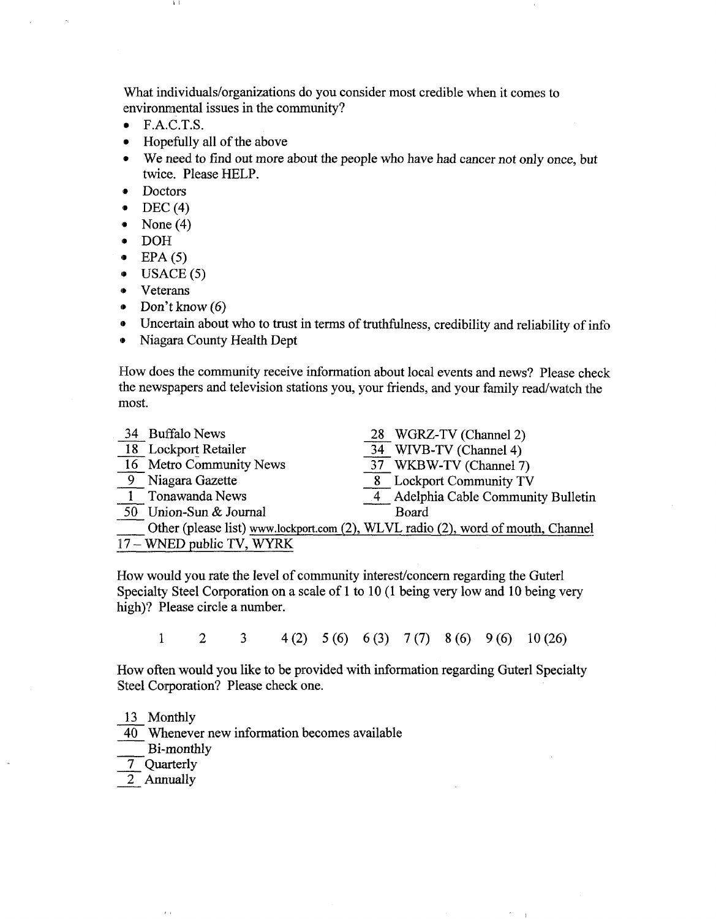What individuals/organizations do you consider most credible when it comes to environmental issues in the community?

- F.A.C.T.S.
- Hopefully all of the above
- We need to find out more about the people who have had cancer not only once, but twice. Please HELP.
- Doctors
- $\bullet$  DEC (4)
- None  $(4)$
- DOH
- $\bullet$  EPA (5)
- $\bullet$  USACE (5)
- Veterans
- Don't know (6)
- Uncertain about who to trust in terms of truthfulness, credibility and reliability of info
- Niagara County Health Dept

How does the community receive information about local events and news? Please check the newspapers and television stations you, your friends, and your family read/watch the most.

| 34 Buffalo News           | 28 WGRZ-TV (Channel 2)                                                           |
|---------------------------|----------------------------------------------------------------------------------|
| 18 Lockport Retailer      | 34 WIVB-TV (Channel 4)                                                           |
| 16 Metro Community News   | 37 WKBW-TV (Channel 7)                                                           |
| 9 Niagara Gazette         | 8 Lockport Community TV                                                          |
| <b>Tonawanda News</b>     | 4 Adelphia Cable Community Bulletin                                              |
| 50 Union-Sun & Journal    | Board                                                                            |
|                           | Other (please list) www.lockport.com (2), WLVL radio (2), word of mouth, Channel |
| 17 – WNED public TV, WYRK |                                                                                  |

How would you rate the level of community interest/concern regarding the Guterl Specialty Steel Corporation on a scale of 1 to 10(1 being very low and 10 being very high)? Please circle a number.

1 2 3 4(2) 5(6) 6(3) 7(7) 8(6) 9(6) 10(26)

How often would you like to be provided with information regarding Guterl Specialty Steel Corporation? Please check one.

13 Monthly

40 Whenever new information becomes available

Bi-monthly

 $\bar{r}$  .

- 7 Quarterly
- 2 Annually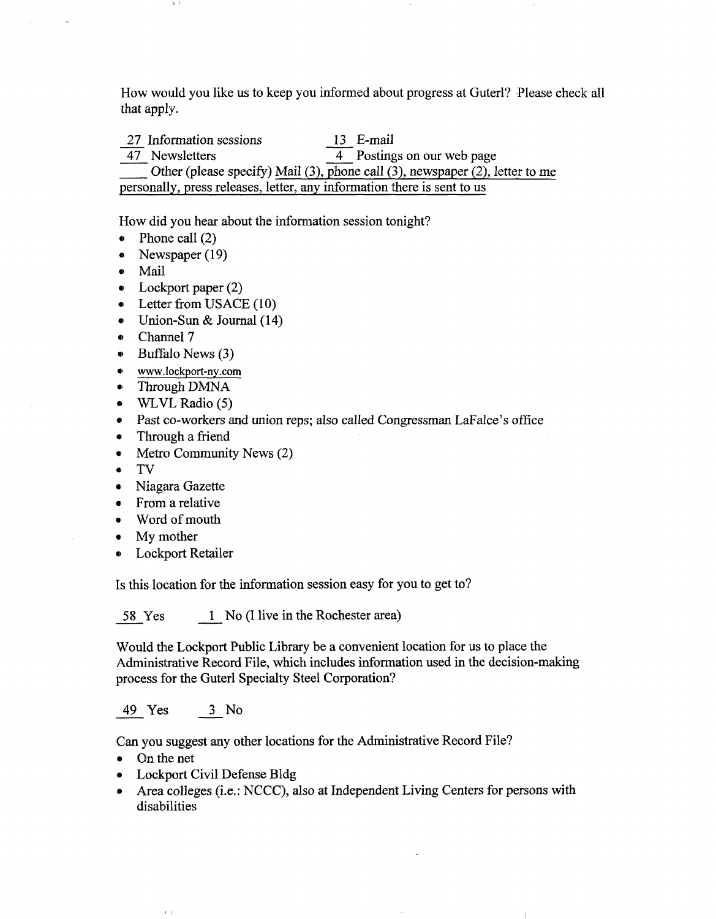How would you like us to keep you informed about progress at Guterl? Please check all that apply.

27 Information sessions 13 E-mail 47 Newsletters 4 Postings on our web page Other (please specify) Mail (3), phone call (3), newspaper (2), letter to me personally, press releases, letter, any information there is sent to us

How did you hear about the information session tonight?

- Phone call  $(2)$
- Newspaper (19)
- Mail
- Lockport paper (2)
- Letter from USACE (10)
- Union-Sun & Journal (14)
- Channel 7
- Buffalo News (3)
- www.lockport-ny.com
- Through DMNA
- WLVL Radio (5)
- Past co-workers and union reps; also called Congressman LaFalce's office
- Through a friend
- Metro Community News (2)
- TV
- Niagara Gazette
- From a relative
- Word of mouth
- My mother
- **Lockport Retailer** • Lockport Retailer

Is this location for the information session easy for you to get to? Is this location for the information session easy for you to get to?

<del>s in the Rochester area)</del> in the Rochester area (i.e. the Rochester area) in the Rochester area) in the Rochester area<br>In the Rochester area (i.e. the Rochester area) in the Rochester area (i.e. the Rochester area) in the

Would the Lockport Public Library be a convenient location for us to place the Administrative Record File, which includes information used in the decision-making process for the Guterl Specialty Steel Corporation?

49 Yes 3 No

Can you suggest any other locations for the Administrative Record File?

• On the net

 $\ell \rightarrow$ 

- Lockport Civil Defense Bldg
- Area colleges (i.e.: NCCC), also at Independent Living Centers for persons with disabilities